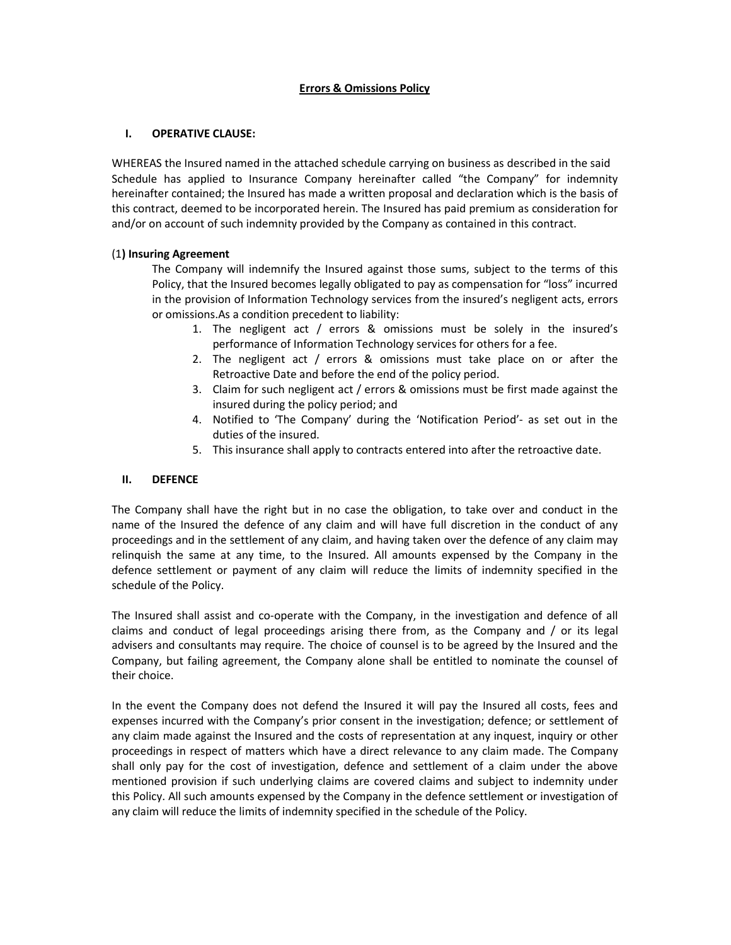# Errors & Omissions Policy

# I. OPERATIVE CLAUSE:

WHEREAS the Insured named in the attached schedule carrying on business as described in the said Schedule has applied to Insurance Company hereinafter called "the Company" for indemnity hereinafter contained; the Insured has made a written proposal and declaration which is the basis of this contract, deemed to be incorporated herein. The Insured has paid premium as consideration for and/or on account of such indemnity provided by the Company as contained in this contract.

# (1) Insuring Agreement

The Company will indemnify the Insured against those sums, subject to the terms of this Policy, that the Insured becomes legally obligated to pay as compensation for "loss" incurred in the provision of Information Technology services from the insured's negligent acts, errors or omissions.As a condition precedent to liability:

- 1. The negligent act / errors & omissions must be solely in the insured's performance of Information Technology services for others for a fee.
- 2. The negligent act / errors & omissions must take place on or after the Retroactive Date and before the end of the policy period.
- 3. Claim for such negligent act / errors & omissions must be first made against the insured during the policy period; and
- 4. Notified to 'The Company' during the 'Notification Period'- as set out in the duties of the insured.
- 5. This insurance shall apply to contracts entered into after the retroactive date.

# II. DEFENCE

The Company shall have the right but in no case the obligation, to take over and conduct in the name of the Insured the defence of any claim and will have full discretion in the conduct of any proceedings and in the settlement of any claim, and having taken over the defence of any claim may relinquish the same at any time, to the Insured. All amounts expensed by the Company in the defence settlement or payment of any claim will reduce the limits of indemnity specified in the schedule of the Policy.

The Insured shall assist and co-operate with the Company, in the investigation and defence of all claims and conduct of legal proceedings arising there from, as the Company and / or its legal advisers and consultants may require. The choice of counsel is to be agreed by the Insured and the Company, but failing agreement, the Company alone shall be entitled to nominate the counsel of their choice.

In the event the Company does not defend the Insured it will pay the Insured all costs, fees and expenses incurred with the Company's prior consent in the investigation; defence; or settlement of any claim made against the Insured and the costs of representation at any inquest, inquiry or other proceedings in respect of matters which have a direct relevance to any claim made. The Company shall only pay for the cost of investigation, defence and settlement of a claim under the above mentioned provision if such underlying claims are covered claims and subject to indemnity under this Policy. All such amounts expensed by the Company in the defence settlement or investigation of any claim will reduce the limits of indemnity specified in the schedule of the Policy.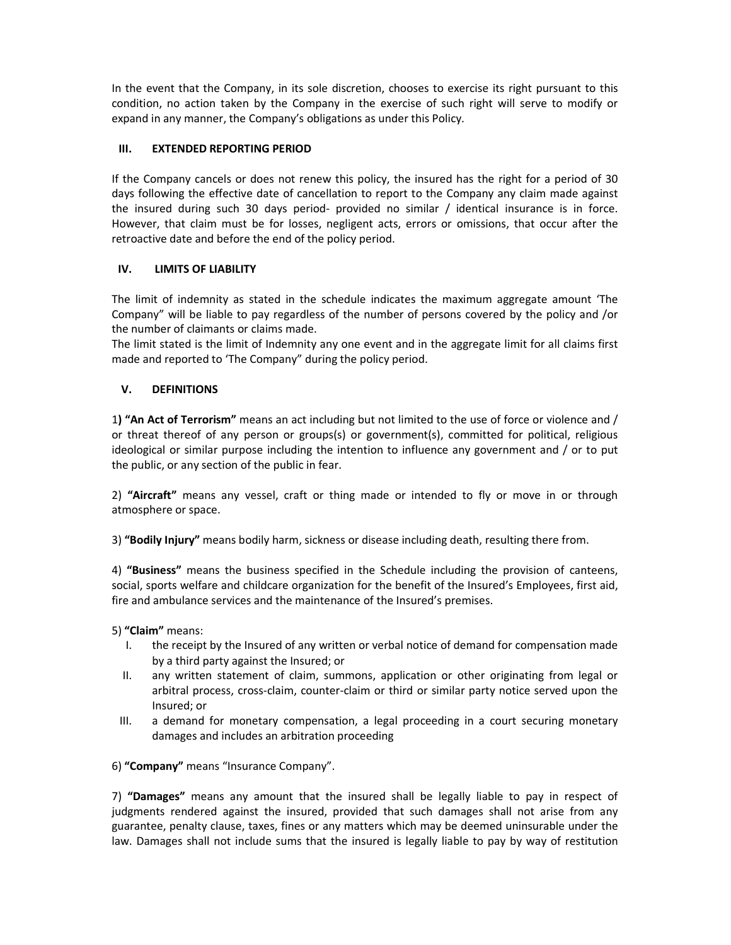In the event that the Company, in its sole discretion, chooses to exercise its right pursuant to this condition, no action taken by the Company in the exercise of such right will serve to modify or expand in any manner, the Company's obligations as under this Policy.

# III. EXTENDED REPORTING PERIOD

If the Company cancels or does not renew this policy, the insured has the right for a period of 30 days following the effective date of cancellation to report to the Company any claim made against the insured during such 30 days period- provided no similar / identical insurance is in force. However, that claim must be for losses, negligent acts, errors or omissions, that occur after the retroactive date and before the end of the policy period.

# IV. LIMITS OF LIABILITY

The limit of indemnity as stated in the schedule indicates the maximum aggregate amount 'The Company" will be liable to pay regardless of the number of persons covered by the policy and /or the number of claimants or claims made.

The limit stated is the limit of Indemnity any one event and in the aggregate limit for all claims first made and reported to 'The Company" during the policy period.

# V. DEFINITIONS

1) "An Act of Terrorism" means an act including but not limited to the use of force or violence and / or threat thereof of any person or groups(s) or government(s), committed for political, religious ideological or similar purpose including the intention to influence any government and / or to put the public, or any section of the public in fear.

2) "Aircraft" means any vessel, craft or thing made or intended to fly or move in or through atmosphere or space.

3) "Bodily Injury" means bodily harm, sickness or disease including death, resulting there from.

4) "Business" means the business specified in the Schedule including the provision of canteens, social, sports welfare and childcare organization for the benefit of the Insured's Employees, first aid, fire and ambulance services and the maintenance of the Insured's premises.

5) "Claim" means:

- I. the receipt by the Insured of any written or verbal notice of demand for compensation made by a third party against the Insured; or
- II. any written statement of claim, summons, application or other originating from legal or arbitral process, cross-claim, counter-claim or third or similar party notice served upon the Insured; or
- III. a demand for monetary compensation, a legal proceeding in a court securing monetary damages and includes an arbitration proceeding

6) "Company" means "Insurance Company".

7) "Damages" means any amount that the insured shall be legally liable to pay in respect of judgments rendered against the insured, provided that such damages shall not arise from any guarantee, penalty clause, taxes, fines or any matters which may be deemed uninsurable under the law. Damages shall not include sums that the insured is legally liable to pay by way of restitution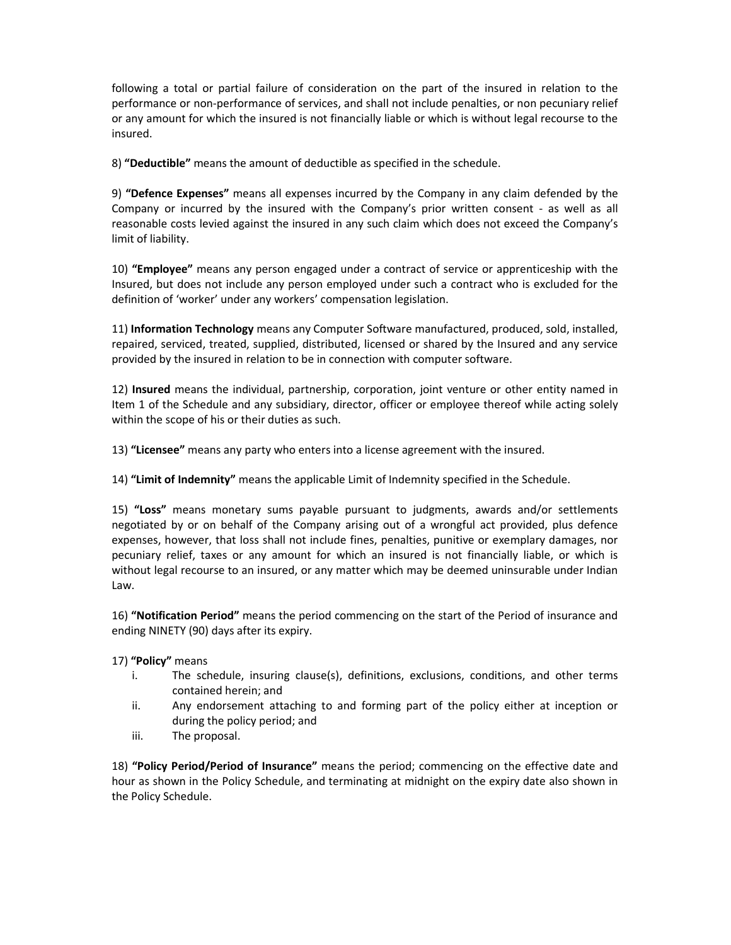following a total or partial failure of consideration on the part of the insured in relation to the performance or non-performance of services, and shall not include penalties, or non pecuniary relief or any amount for which the insured is not financially liable or which is without legal recourse to the insured.

8) "Deductible" means the amount of deductible as specified in the schedule.

9) "Defence Expenses" means all expenses incurred by the Company in any claim defended by the Company or incurred by the insured with the Company's prior written consent - as well as all reasonable costs levied against the insured in any such claim which does not exceed the Company's limit of liability.

10) "Employee" means any person engaged under a contract of service or apprenticeship with the Insured, but does not include any person employed under such a contract who is excluded for the definition of 'worker' under any workers' compensation legislation.

11) Information Technology means any Computer Software manufactured, produced, sold, installed, repaired, serviced, treated, supplied, distributed, licensed or shared by the Insured and any service provided by the insured in relation to be in connection with computer software.

12) Insured means the individual, partnership, corporation, joint venture or other entity named in Item 1 of the Schedule and any subsidiary, director, officer or employee thereof while acting solely within the scope of his or their duties as such.

13) "Licensee" means any party who enters into a license agreement with the insured.

14) "Limit of Indemnity" means the applicable Limit of Indemnity specified in the Schedule.

15) "Loss" means monetary sums payable pursuant to judgments, awards and/or settlements negotiated by or on behalf of the Company arising out of a wrongful act provided, plus defence expenses, however, that loss shall not include fines, penalties, punitive or exemplary damages, nor pecuniary relief, taxes or any amount for which an insured is not financially liable, or which is without legal recourse to an insured, or any matter which may be deemed uninsurable under Indian Law.

16) "Notification Period" means the period commencing on the start of the Period of insurance and ending NINETY (90) days after its expiry.

# 17) "Policy" means

- i. The schedule, insuring clause(s), definitions, exclusions, conditions, and other terms contained herein; and
- ii. Any endorsement attaching to and forming part of the policy either at inception or during the policy period; and
- iii. The proposal.

18) "Policy Period/Period of Insurance" means the period; commencing on the effective date and hour as shown in the Policy Schedule, and terminating at midnight on the expiry date also shown in the Policy Schedule.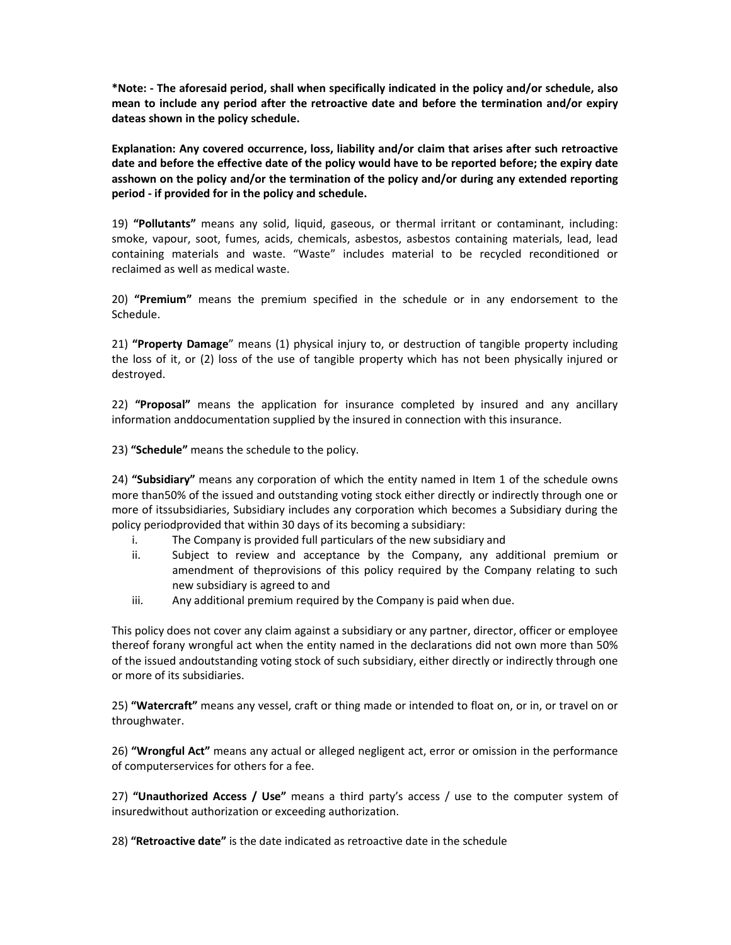\*Note: - The aforesaid period, shall when specifically indicated in the policy and/or schedule, also mean to include any period after the retroactive date and before the termination and/or expiry dateas shown in the policy schedule.

Explanation: Any covered occurrence, loss, liability and/or claim that arises after such retroactive date and before the effective date of the policy would have to be reported before; the expiry date asshown on the policy and/or the termination of the policy and/or during any extended reporting period - if provided for in the policy and schedule.

19) "Pollutants" means any solid, liquid, gaseous, or thermal irritant or contaminant, including: smoke, vapour, soot, fumes, acids, chemicals, asbestos, asbestos containing materials, lead, lead containing materials and waste. "Waste" includes material to be recycled reconditioned or reclaimed as well as medical waste.

20) "Premium" means the premium specified in the schedule or in any endorsement to the Schedule.

21) "Property Damage" means (1) physical injury to, or destruction of tangible property including the loss of it, or (2) loss of the use of tangible property which has not been physically injured or destroyed.

22) "Proposal" means the application for insurance completed by insured and any ancillary information anddocumentation supplied by the insured in connection with this insurance.

23) "Schedule" means the schedule to the policy.

24) "Subsidiary" means any corporation of which the entity named in Item 1 of the schedule owns more than50% of the issued and outstanding voting stock either directly or indirectly through one or more of itssubsidiaries, Subsidiary includes any corporation which becomes a Subsidiary during the policy periodprovided that within 30 days of its becoming a subsidiary:

- i. The Company is provided full particulars of the new subsidiary and
- ii. Subject to review and acceptance by the Company, any additional premium or amendment of theprovisions of this policy required by the Company relating to such new subsidiary is agreed to and
- iii. Any additional premium required by the Company is paid when due.

This policy does not cover any claim against a subsidiary or any partner, director, officer or employee thereof forany wrongful act when the entity named in the declarations did not own more than 50% of the issued andoutstanding voting stock of such subsidiary, either directly or indirectly through one or more of its subsidiaries.

25) "Watercraft" means any vessel, craft or thing made or intended to float on, or in, or travel on or throughwater.

26) "Wrongful Act" means any actual or alleged negligent act, error or omission in the performance of computerservices for others for a fee.

27) "Unauthorized Access / Use" means a third party's access / use to the computer system of insuredwithout authorization or exceeding authorization.

28) "Retroactive date" is the date indicated as retroactive date in the schedule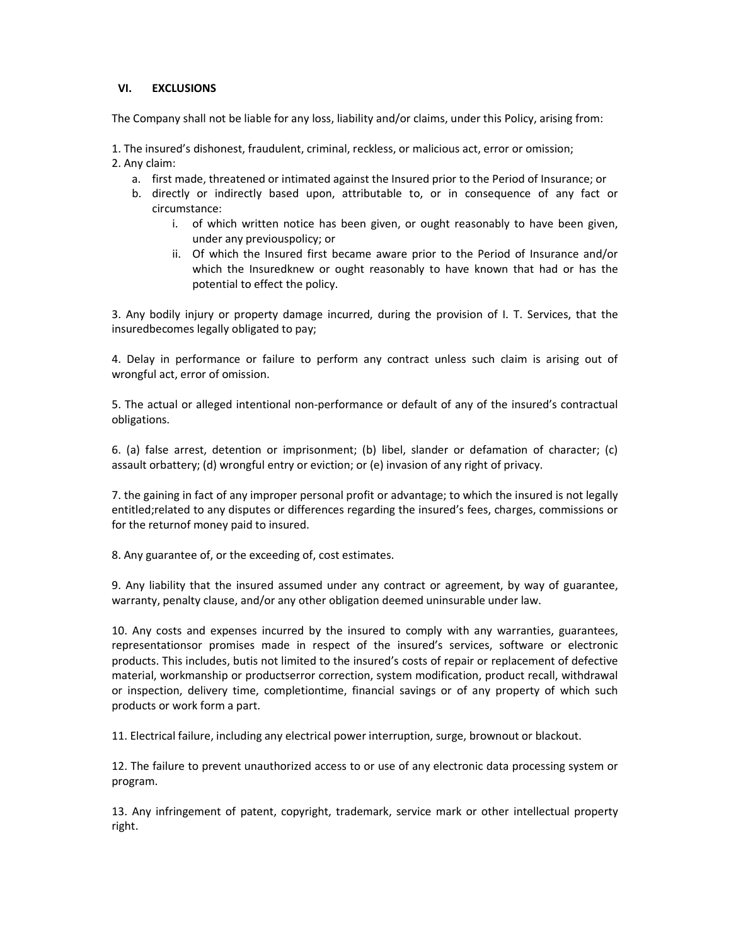# VI. EXCLUSIONS

The Company shall not be liable for any loss, liability and/or claims, under this Policy, arising from:

1. The insured's dishonest, fraudulent, criminal, reckless, or malicious act, error or omission; 2. Any claim:

- a. first made, threatened or intimated against the Insured prior to the Period of Insurance; or
- b. directly or indirectly based upon, attributable to, or in consequence of any fact or circumstance:
	- i. of which written notice has been given, or ought reasonably to have been given, under any previouspolicy; or
	- ii. Of which the Insured first became aware prior to the Period of Insurance and/or which the Insuredknew or ought reasonably to have known that had or has the potential to effect the policy.

3. Any bodily injury or property damage incurred, during the provision of I. T. Services, that the insuredbecomes legally obligated to pay;

4. Delay in performance or failure to perform any contract unless such claim is arising out of wrongful act, error of omission.

5. The actual or alleged intentional non-performance or default of any of the insured's contractual obligations.

6. (a) false arrest, detention or imprisonment; (b) libel, slander or defamation of character; (c) assault orbattery; (d) wrongful entry or eviction; or (e) invasion of any right of privacy.

7. the gaining in fact of any improper personal profit or advantage; to which the insured is not legally entitled;related to any disputes or differences regarding the insured's fees, charges, commissions or for the returnof money paid to insured.

8. Any guarantee of, or the exceeding of, cost estimates.

9. Any liability that the insured assumed under any contract or agreement, by way of guarantee, warranty, penalty clause, and/or any other obligation deemed uninsurable under law.

10. Any costs and expenses incurred by the insured to comply with any warranties, guarantees, representationsor promises made in respect of the insured's services, software or electronic products. This includes, butis not limited to the insured's costs of repair or replacement of defective material, workmanship or productserror correction, system modification, product recall, withdrawal or inspection, delivery time, completiontime, financial savings or of any property of which such products or work form a part.

11. Electrical failure, including any electrical power interruption, surge, brownout or blackout.

12. The failure to prevent unauthorized access to or use of any electronic data processing system or program.

13. Any infringement of patent, copyright, trademark, service mark or other intellectual property right.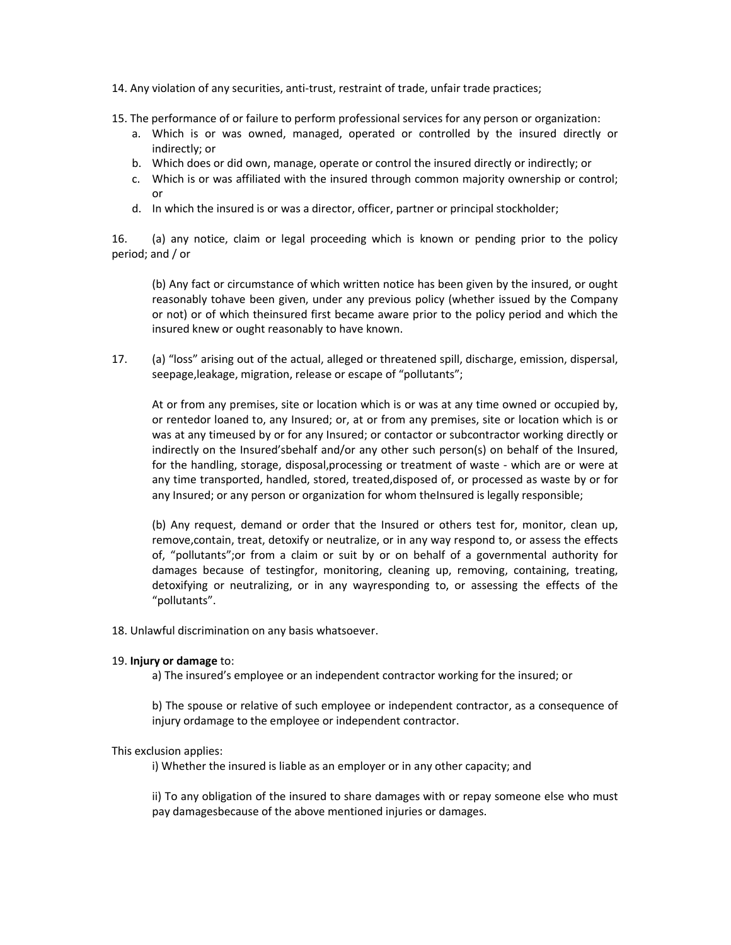- 14. Any violation of any securities, anti-trust, restraint of trade, unfair trade practices;
- 15. The performance of or failure to perform professional services for any person or organization:
	- a. Which is or was owned, managed, operated or controlled by the insured directly or indirectly; or
	- b. Which does or did own, manage, operate or control the insured directly or indirectly; or
	- c. Which is or was affiliated with the insured through common majority ownership or control; or
	- d. In which the insured is or was a director, officer, partner or principal stockholder;

16. (a) any notice, claim or legal proceeding which is known or pending prior to the policy period; and / or

(b) Any fact or circumstance of which written notice has been given by the insured, or ought reasonably tohave been given, under any previous policy (whether issued by the Company or not) or of which theinsured first became aware prior to the policy period and which the insured knew or ought reasonably to have known.

17. (a) "loss" arising out of the actual, alleged or threatened spill, discharge, emission, dispersal, seepage,leakage, migration, release or escape of "pollutants";

At or from any premises, site or location which is or was at any time owned or occupied by, or rentedor loaned to, any Insured; or, at or from any premises, site or location which is or was at any timeused by or for any Insured; or contactor or subcontractor working directly or indirectly on the Insured'sbehalf and/or any other such person(s) on behalf of the Insured, for the handling, storage, disposal,processing or treatment of waste - which are or were at any time transported, handled, stored, treated,disposed of, or processed as waste by or for any Insured; or any person or organization for whom theInsured is legally responsible;

(b) Any request, demand or order that the Insured or others test for, monitor, clean up, remove,contain, treat, detoxify or neutralize, or in any way respond to, or assess the effects of, "pollutants";or from a claim or suit by or on behalf of a governmental authority for damages because of testingfor, monitoring, cleaning up, removing, containing, treating, detoxifying or neutralizing, or in any wayresponding to, or assessing the effects of the "pollutants".

18. Unlawful discrimination on any basis whatsoever.

### 19. Injury or damage to:

a) The insured's employee or an independent contractor working for the insured; or

b) The spouse or relative of such employee or independent contractor, as a consequence of injury ordamage to the employee or independent contractor.

# This exclusion applies:

i) Whether the insured is liable as an employer or in any other capacity; and

ii) To any obligation of the insured to share damages with or repay someone else who must pay damagesbecause of the above mentioned injuries or damages.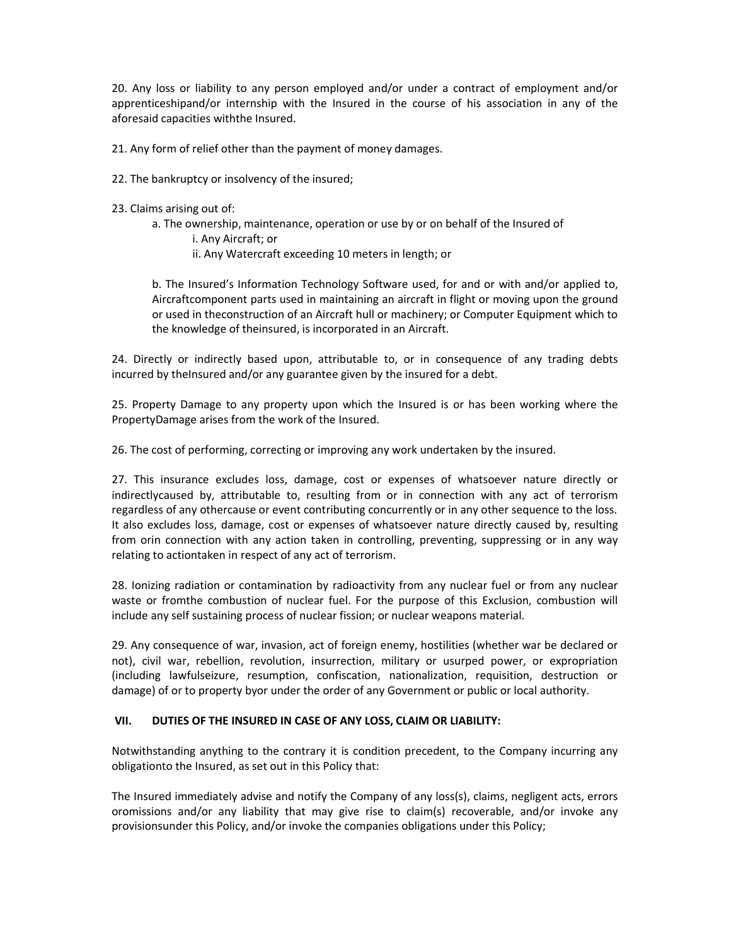20. Any loss or liability to any person employed and/or under a contract of employment and/or apprenticeshipand/or internship with the Insured in the course of his association in any of the aforesaid capacities withthe Insured.

21. Any form of relief other than the payment of money damages.

22. The bankruptcy or insolvency of the insured;

23. Claims arising out of:

a. The ownership, maintenance, operation or use by or on behalf of the Insured of i. Any Aircraft; or ii. Any Watercraft exceeding 10 meters in length; or

b. The Insured's Information Technology Software used, for and or with and/or applied to, Aircraftcomponent parts used in maintaining an aircraft in flight or moving upon the ground or used in theconstruction of an Aircraft hull or machinery; or Computer Equipment which to the knowledge of theinsured, is incorporated in an Aircraft.

24. Directly or indirectly based upon, attributable to, or in consequence of any trading debts incurred by the Insured and/or any guarantee given by the insured for a debt.

25. Property Damage to any property upon which the Insured is or has been working where the PropertyDamage arises from the work of the Insured.

26. The cost of performing, correcting or improving any work undertaken by the insured.

27. This insurance excludes loss, damage, cost or expenses of whatsoever nature directly or indirectlycaused by, attributable to, resulting from or in connection with any act of terrorism regardless of any othercause or event contributing concurrently or in any other sequence to the loss. It also excludes loss, damage, cost or expenses of whatsoever nature directly caused by, resulting from orin connection with any action taken in controlling, preventing, suppressing or in any way relating to actiontaken in respect of any act of terrorism.

28. Ionizing radiation or contamination by radioactivity from any nuclear fuel or from any nuclear waste or fromthe combustion of nuclear fuel. For the purpose of this Exclusion, combustion will include any self sustaining process of nuclear fission; or nuclear weapons material.

29. Any consequence of war, invasion, act of foreign enemy, hostilities (whether war be declared or not), civil war, rebellion, revolution, insurrection, military or usurped power, or expropriation (including lawfulseizure, resumption, confiscation, nationalization, requisition, destruction or damage) of or to property byor under the order of any Government or public or local authority.

# VII. DUTIES OF THE INSURED IN CASE OF ANY LOSS, CLAIM OR LIABILITY:

Notwithstanding anything to the contrary it is condition precedent, to the Company incurring any obligationto the Insured, as set out in this Policy that:

The Insured immediately advise and notify the Company of any loss(s), claims, negligent acts, errors oromissions and/or any liability that may give rise to claim(s) recoverable, and/or invoke any provisionsunder this Policy, and/or invoke the companies obligations under this Policy;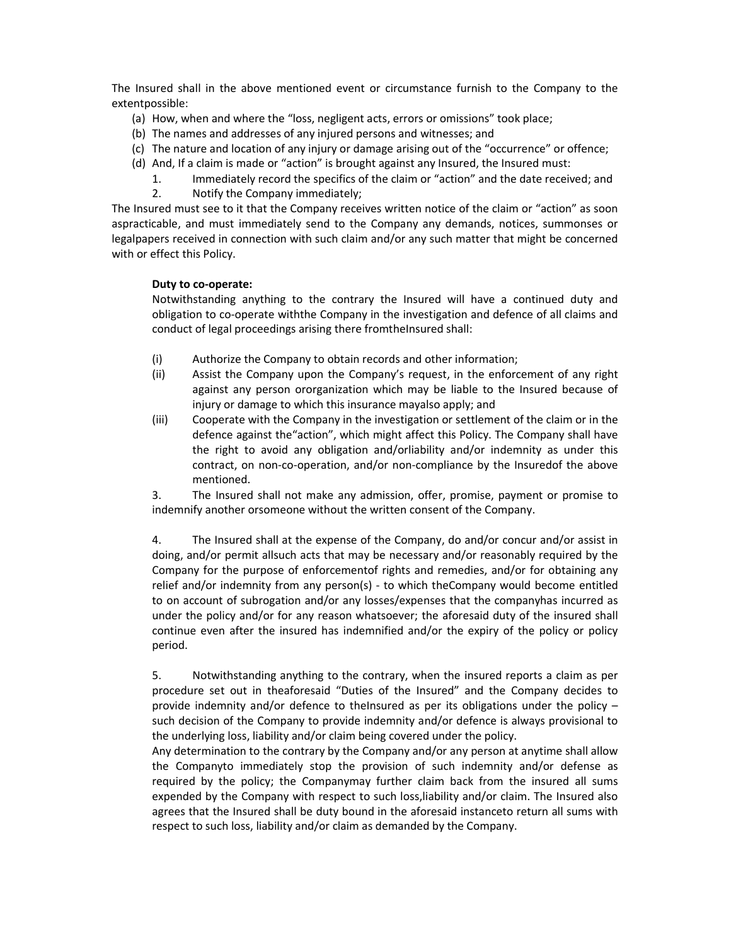The Insured shall in the above mentioned event or circumstance furnish to the Company to the extentpossible:

- (a) How, when and where the "loss, negligent acts, errors or omissions" took place;
- (b) The names and addresses of any injured persons and witnesses; and
- (c) The nature and location of any injury or damage arising out of the "occurrence" or offence;
- (d) And, If a claim is made or "action" is brought against any Insured, the Insured must:
	- 1. Immediately record the specifics of the claim or "action" and the date received; and
	- 2. Notify the Company immediately;

The Insured must see to it that the Company receives written notice of the claim or "action" as soon aspracticable, and must immediately send to the Company any demands, notices, summonses or legalpapers received in connection with such claim and/or any such matter that might be concerned with or effect this Policy.

# Duty to co-operate:

Notwithstanding anything to the contrary the Insured will have a continued duty and obligation to co-operate withthe Company in the investigation and defence of all claims and conduct of legal proceedings arising there fromtheInsured shall:

- (i) Authorize the Company to obtain records and other information;
- (ii) Assist the Company upon the Company's request, in the enforcement of any right against any person ororganization which may be liable to the Insured because of injury or damage to which this insurance mayalso apply; and
- (iii) Cooperate with the Company in the investigation or settlement of the claim or in the defence against the"action", which might affect this Policy. The Company shall have the right to avoid any obligation and/orliability and/or indemnity as under this contract, on non-co-operation, and/or non-compliance by the Insuredof the above mentioned.

3. The Insured shall not make any admission, offer, promise, payment or promise to indemnify another orsomeone without the written consent of the Company.

4. The Insured shall at the expense of the Company, do and/or concur and/or assist in doing, and/or permit allsuch acts that may be necessary and/or reasonably required by the Company for the purpose of enforcementof rights and remedies, and/or for obtaining any relief and/or indemnity from any person(s) - to which theCompany would become entitled to on account of subrogation and/or any losses/expenses that the companyhas incurred as under the policy and/or for any reason whatsoever; the aforesaid duty of the insured shall continue even after the insured has indemnified and/or the expiry of the policy or policy period.

5. Notwithstanding anything to the contrary, when the insured reports a claim as per procedure set out in theaforesaid "Duties of the Insured" and the Company decides to provide indemnity and/or defence to theInsured as per its obligations under the policy  $$ such decision of the Company to provide indemnity and/or defence is always provisional to the underlying loss, liability and/or claim being covered under the policy.

Any determination to the contrary by the Company and/or any person at anytime shall allow the Companyto immediately stop the provision of such indemnity and/or defense as required by the policy; the Companymay further claim back from the insured all sums expended by the Company with respect to such loss,liability and/or claim. The Insured also agrees that the Insured shall be duty bound in the aforesaid instanceto return all sums with respect to such loss, liability and/or claim as demanded by the Company.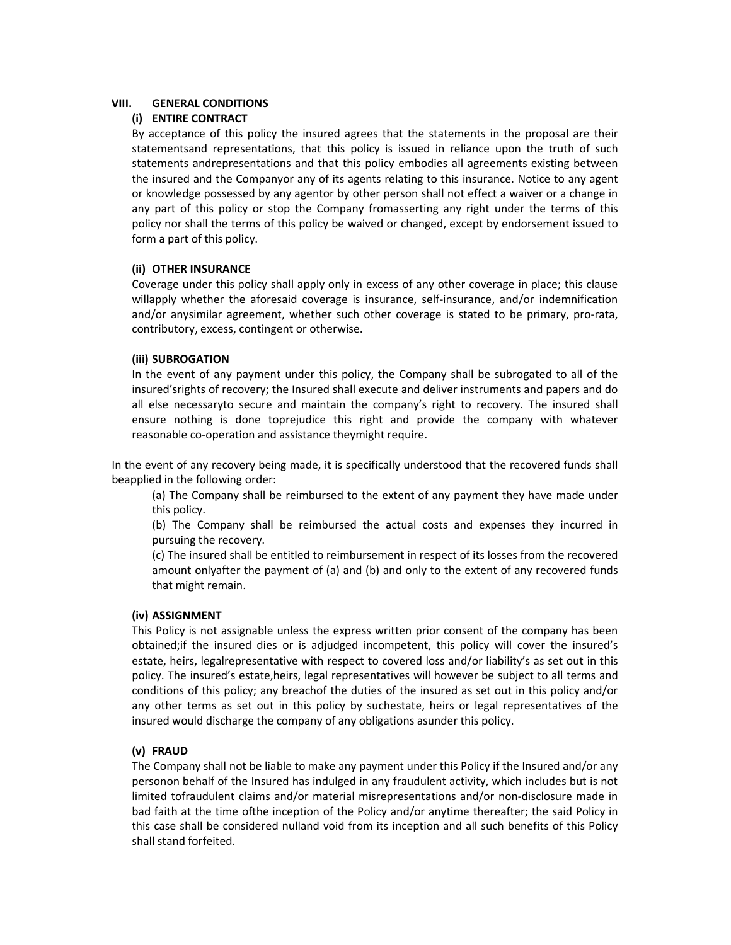# VIII. GENERAL CONDITIONS

# (i) ENTIRE CONTRACT

By acceptance of this policy the insured agrees that the statements in the proposal are their statementsand representations, that this policy is issued in reliance upon the truth of such statements andrepresentations and that this policy embodies all agreements existing between the insured and the Companyor any of its agents relating to this insurance. Notice to any agent or knowledge possessed by any agentor by other person shall not effect a waiver or a change in any part of this policy or stop the Company fromasserting any right under the terms of this policy nor shall the terms of this policy be waived or changed, except by endorsement issued to form a part of this policy.

# (ii) OTHER INSURANCE

Coverage under this policy shall apply only in excess of any other coverage in place; this clause willapply whether the aforesaid coverage is insurance, self-insurance, and/or indemnification and/or anysimilar agreement, whether such other coverage is stated to be primary, pro-rata, contributory, excess, contingent or otherwise.

# (iii) SUBROGATION

In the event of any payment under this policy, the Company shall be subrogated to all of the insured'srights of recovery; the Insured shall execute and deliver instruments and papers and do all else necessaryto secure and maintain the company's right to recovery. The insured shall ensure nothing is done toprejudice this right and provide the company with whatever reasonable co-operation and assistance theymight require.

In the event of any recovery being made, it is specifically understood that the recovered funds shall beapplied in the following order:

(a) The Company shall be reimbursed to the extent of any payment they have made under this policy.

(b) The Company shall be reimbursed the actual costs and expenses they incurred in pursuing the recovery.

(c) The insured shall be entitled to reimbursement in respect of its losses from the recovered amount onlyafter the payment of (a) and (b) and only to the extent of any recovered funds that might remain.

# (iv) ASSIGNMENT

This Policy is not assignable unless the express written prior consent of the company has been obtained;if the insured dies or is adjudged incompetent, this policy will cover the insured's estate, heirs, legalrepresentative with respect to covered loss and/or liability's as set out in this policy. The insured's estate,heirs, legal representatives will however be subject to all terms and conditions of this policy; any breachof the duties of the insured as set out in this policy and/or any other terms as set out in this policy by suchestate, heirs or legal representatives of the insured would discharge the company of any obligations asunder this policy.

# (v) FRAUD

The Company shall not be liable to make any payment under this Policy if the Insured and/or any personon behalf of the Insured has indulged in any fraudulent activity, which includes but is not limited tofraudulent claims and/or material misrepresentations and/or non-disclosure made in bad faith at the time ofthe inception of the Policy and/or anytime thereafter; the said Policy in this case shall be considered nulland void from its inception and all such benefits of this Policy shall stand forfeited.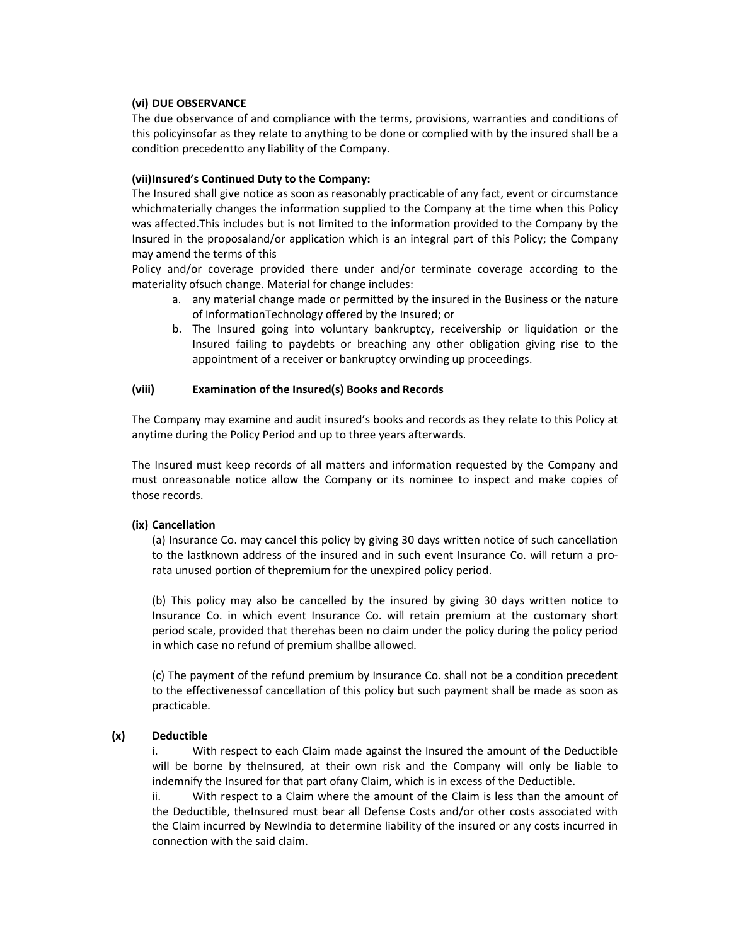### (vi) DUE OBSERVANCE

The due observance of and compliance with the terms, provisions, warranties and conditions of this policyinsofar as they relate to anything to be done or complied with by the insured shall be a condition precedentto any liability of the Company.

### (vii)Insured's Continued Duty to the Company:

The Insured shall give notice as soon as reasonably practicable of any fact, event or circumstance whichmaterially changes the information supplied to the Company at the time when this Policy was affected.This includes but is not limited to the information provided to the Company by the Insured in the proposaland/or application which is an integral part of this Policy; the Company may amend the terms of this

Policy and/or coverage provided there under and/or terminate coverage according to the materiality ofsuch change. Material for change includes:

- a. any material change made or permitted by the insured in the Business or the nature of InformationTechnology offered by the Insured; or
- b. The Insured going into voluntary bankruptcy, receivership or liquidation or the Insured failing to paydebts or breaching any other obligation giving rise to the appointment of a receiver or bankruptcy orwinding up proceedings.

### (viii) Examination of the Insured(s) Books and Records

The Company may examine and audit insured's books and records as they relate to this Policy at anytime during the Policy Period and up to three years afterwards.

The Insured must keep records of all matters and information requested by the Company and must onreasonable notice allow the Company or its nominee to inspect and make copies of those records.

# (ix) Cancellation

(a) Insurance Co. may cancel this policy by giving 30 days written notice of such cancellation to the lastknown address of the insured and in such event Insurance Co. will return a prorata unused portion of thepremium for the unexpired policy period.

(b) This policy may also be cancelled by the insured by giving 30 days written notice to Insurance Co. in which event Insurance Co. will retain premium at the customary short period scale, provided that therehas been no claim under the policy during the policy period in which case no refund of premium shallbe allowed.

(c) The payment of the refund premium by Insurance Co. shall not be a condition precedent to the effectivenessof cancellation of this policy but such payment shall be made as soon as practicable.

# (x) Deductible

i. With respect to each Claim made against the Insured the amount of the Deductible will be borne by theInsured, at their own risk and the Company will only be liable to indemnify the Insured for that part ofany Claim, which is in excess of the Deductible.

ii. With respect to a Claim where the amount of the Claim is less than the amount of the Deductible, theInsured must bear all Defense Costs and/or other costs associated with the Claim incurred by NewIndia to determine liability of the insured or any costs incurred in connection with the said claim.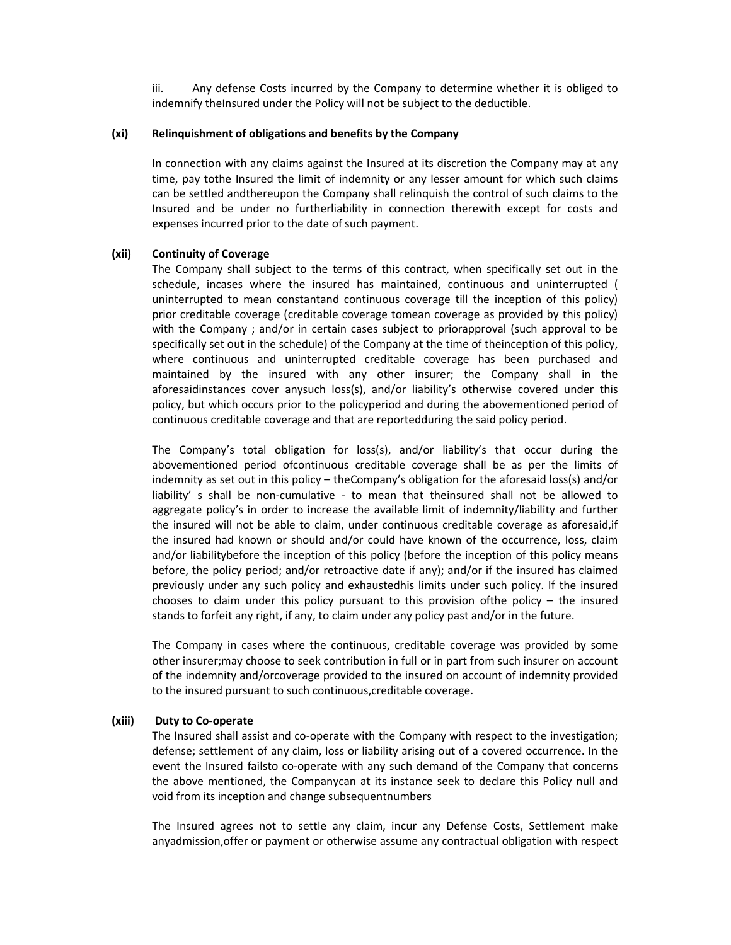iii. Any defense Costs incurred by the Company to determine whether it is obliged to indemnify theInsured under the Policy will not be subject to the deductible.

### (xi) Relinquishment of obligations and benefits by the Company

In connection with any claims against the Insured at its discretion the Company may at any time, pay tothe Insured the limit of indemnity or any lesser amount for which such claims can be settled andthereupon the Company shall relinquish the control of such claims to the Insured and be under no furtherliability in connection therewith except for costs and expenses incurred prior to the date of such payment.

### (xii) Continuity of Coverage

The Company shall subject to the terms of this contract, when specifically set out in the schedule, incases where the insured has maintained, continuous and uninterrupted ( uninterrupted to mean constantand continuous coverage till the inception of this policy) prior creditable coverage (creditable coverage tomean coverage as provided by this policy) with the Company ; and/or in certain cases subject to priorapproval (such approval to be specifically set out in the schedule) of the Company at the time of theinception of this policy, where continuous and uninterrupted creditable coverage has been purchased and maintained by the insured with any other insurer; the Company shall in the aforesaidinstances cover anysuch loss(s), and/or liability's otherwise covered under this policy, but which occurs prior to the policyperiod and during the abovementioned period of continuous creditable coverage and that are reportedduring the said policy period.

The Company's total obligation for loss(s), and/or liability's that occur during the abovementioned period ofcontinuous creditable coverage shall be as per the limits of indemnity as set out in this policy – theCompany's obligation for the aforesaid loss(s) and/or liability' s shall be non-cumulative - to mean that theinsured shall not be allowed to aggregate policy's in order to increase the available limit of indemnity/liability and further the insured will not be able to claim, under continuous creditable coverage as aforesaid,if the insured had known or should and/or could have known of the occurrence, loss, claim and/or liabilitybefore the inception of this policy (before the inception of this policy means before, the policy period; and/or retroactive date if any); and/or if the insured has claimed previously under any such policy and exhaustedhis limits under such policy. If the insured chooses to claim under this policy pursuant to this provision of the policy  $-$  the insured stands to forfeit any right, if any, to claim under any policy past and/or in the future.

The Company in cases where the continuous, creditable coverage was provided by some other insurer;may choose to seek contribution in full or in part from such insurer on account of the indemnity and/orcoverage provided to the insured on account of indemnity provided to the insured pursuant to such continuous,creditable coverage.

#### (xiii) Duty to Co-operate

The Insured shall assist and co-operate with the Company with respect to the investigation; defense; settlement of any claim, loss or liability arising out of a covered occurrence. In the event the Insured failsto co-operate with any such demand of the Company that concerns the above mentioned, the Companycan at its instance seek to declare this Policy null and void from its inception and change subsequentnumbers

The Insured agrees not to settle any claim, incur any Defense Costs, Settlement make anyadmission,offer or payment or otherwise assume any contractual obligation with respect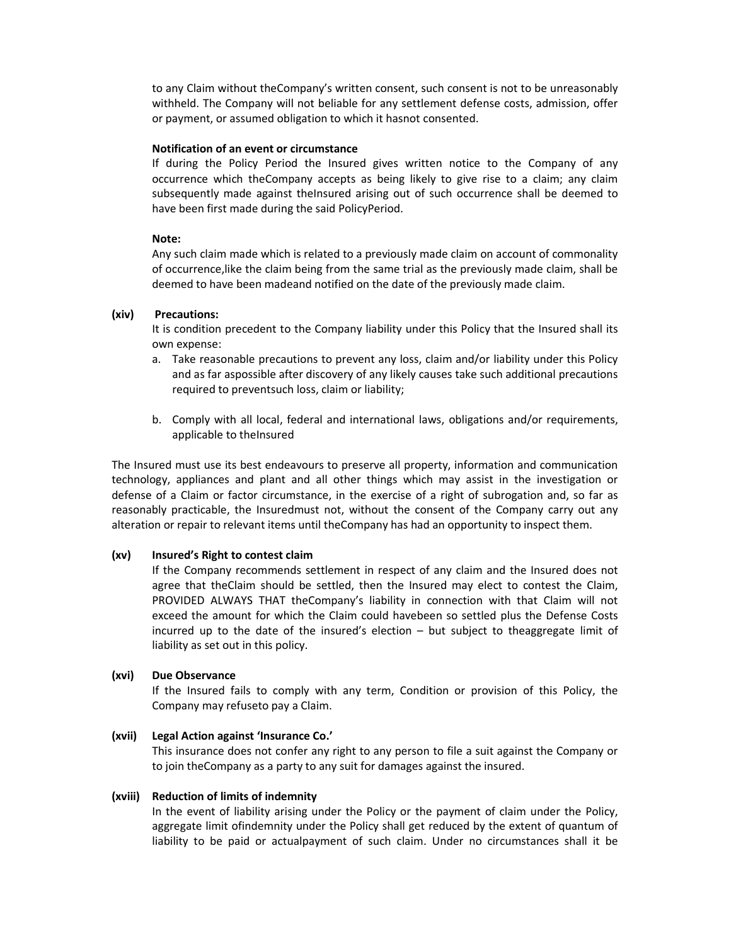to any Claim without theCompany's written consent, such consent is not to be unreasonably withheld. The Company will not beliable for any settlement defense costs, admission, offer or payment, or assumed obligation to which it hasnot consented.

#### Notification of an event or circumstance

If during the Policy Period the Insured gives written notice to the Company of any occurrence which theCompany accepts as being likely to give rise to a claim; any claim subsequently made against theInsured arising out of such occurrence shall be deemed to have been first made during the said PolicyPeriod.

#### Note:

Any such claim made which is related to a previously made claim on account of commonality of occurrence,like the claim being from the same trial as the previously made claim, shall be deemed to have been madeand notified on the date of the previously made claim.

### (xiv) Precautions:

It is condition precedent to the Company liability under this Policy that the Insured shall its own expense:

- a. Take reasonable precautions to prevent any loss, claim and/or liability under this Policy and as far aspossible after discovery of any likely causes take such additional precautions required to preventsuch loss, claim or liability;
- b. Comply with all local, federal and international laws, obligations and/or requirements, applicable to theInsured

The Insured must use its best endeavours to preserve all property, information and communication technology, appliances and plant and all other things which may assist in the investigation or defense of a Claim or factor circumstance, in the exercise of a right of subrogation and, so far as reasonably practicable, the Insuredmust not, without the consent of the Company carry out any alteration or repair to relevant items until theCompany has had an opportunity to inspect them.

### (xv) Insured's Right to contest claim

If the Company recommends settlement in respect of any claim and the Insured does not agree that theClaim should be settled, then the Insured may elect to contest the Claim, PROVIDED ALWAYS THAT theCompany's liability in connection with that Claim will not exceed the amount for which the Claim could havebeen so settled plus the Defense Costs incurred up to the date of the insured's election – but subject to theaggregate limit of liability as set out in this policy.

### (xvi) Due Observance

If the Insured fails to comply with any term, Condition or provision of this Policy, the Company may refuseto pay a Claim.

### (xvii) Legal Action against 'Insurance Co.'

This insurance does not confer any right to any person to file a suit against the Company or to join theCompany as a party to any suit for damages against the insured.

#### (xviii) Reduction of limits of indemnity

In the event of liability arising under the Policy or the payment of claim under the Policy, aggregate limit ofindemnity under the Policy shall get reduced by the extent of quantum of liability to be paid or actualpayment of such claim. Under no circumstances shall it be